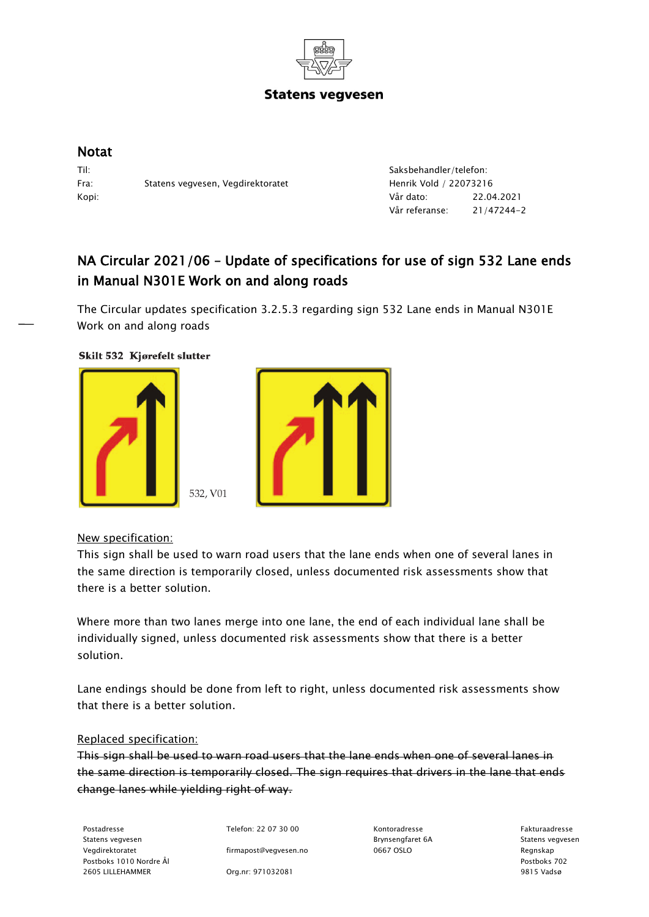

### **Statens vegvesen**

## Notat

Til: Kopi:

Fra: Statens vegvesen, Vegdirektoratet

Saksbehandler/telefon: Henrik Vold / 22073216 Vår dato: 22.04.2021 Vår referanse: 21/47244-2

# NA Circular 2021/06 – Update of specifications for use of sign 532 Lane ends in Manual N301E Work on and along roads

The Circular updates specification 3.2.5.3 regarding sign 532 Lane ends in Manual N301E Work on and along roads

Skilt 532 Kjørefelt slutter





New specification:

This sign shall be used to warn road users that the lane ends when one of several lanes in the same direction is temporarily closed, unless documented risk assessments show that there is a better solution.

Where more than two lanes merge into one lane, the end of each individual lane shall be individually signed, unless documented risk assessments show that there is a better solution.

Lane endings should be done from left to right, unless documented risk assessments show that there is a better solution.

### Replaced specification:

This sign shall be used to warn road users that the lane ends when one of several lanes in the same direction is temporarily closed. The sign requires that drivers in the lane that ends change lanes while yielding right of way.

Postadresse Telefon: 22 07 30 00 Kontoradresse Fakturaadresse Statens vegvesen Brynsengfaret 6A Statens vegvesen Vegdirektoratet firmapost@vegvesen.no 0667 OSLO Regnskap Postboks 1010 Nordre Ål Postboks 702 2605 LILLEHAMMER Org.nr: 971032081 9815 Vadsø